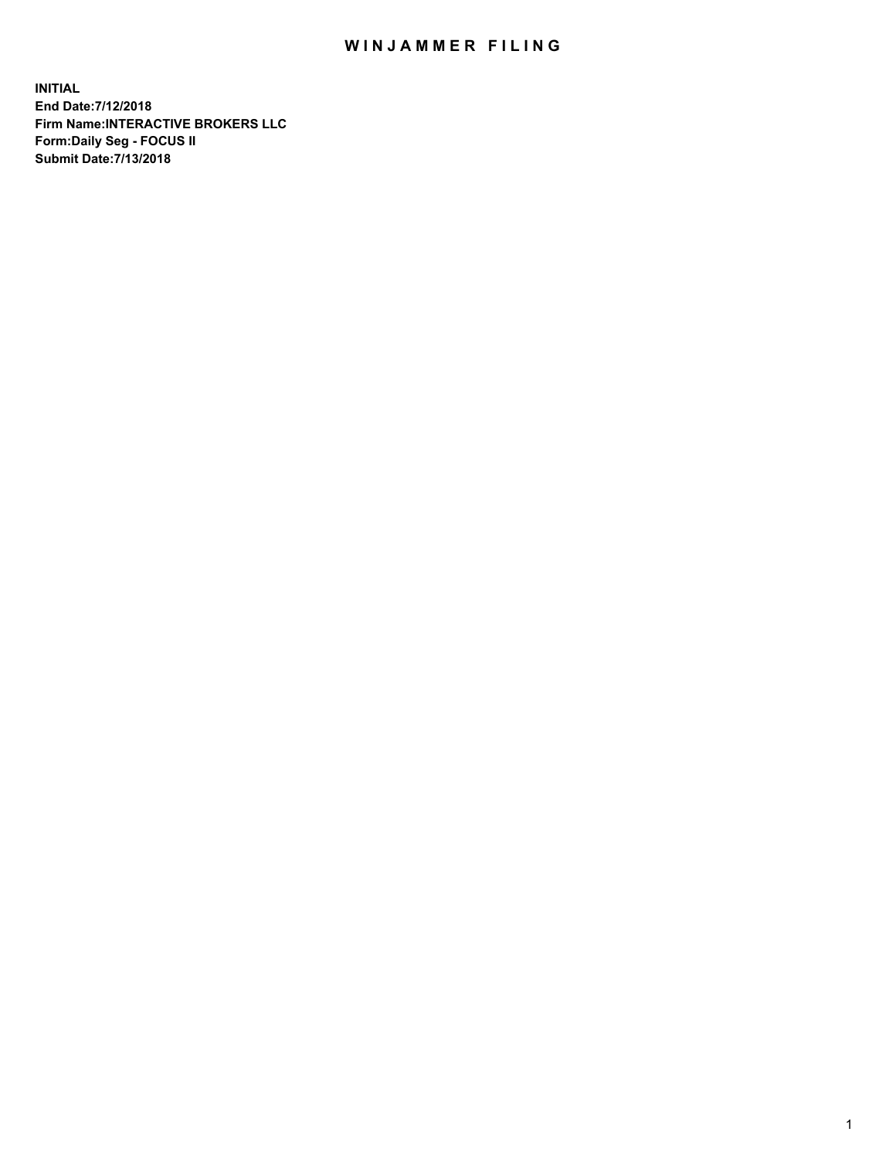## WIN JAMMER FILING

**INITIAL End Date:7/12/2018 Firm Name:INTERACTIVE BROKERS LLC Form:Daily Seg - FOCUS II Submit Date:7/13/2018**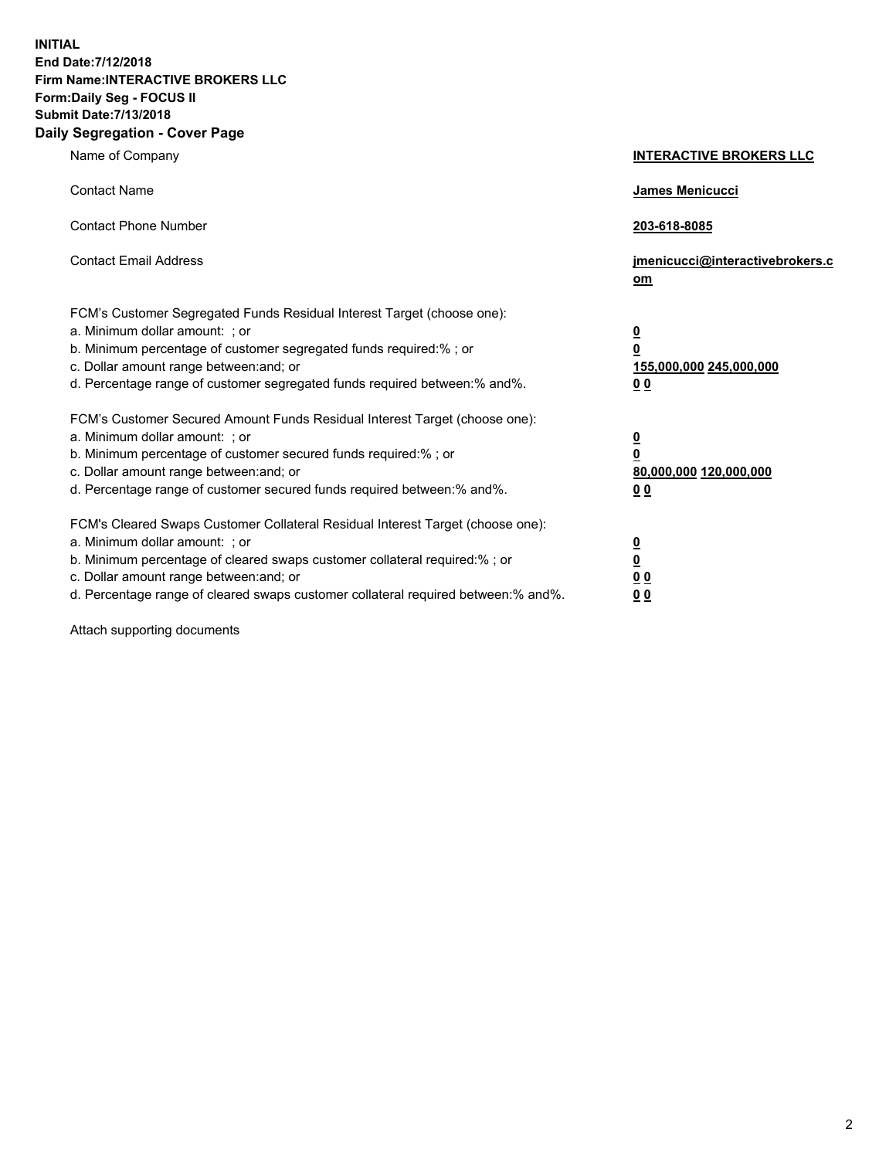**INITIAL End Date:7/12/2018 Firm Name:INTERACTIVE BROKERS LLC Form:Daily Seg - FOCUS II Submit Date:7/13/2018 Daily Segregation - Cover Page**

| Name of Company                                                                                                                                                                                                                                                                                                                | <b>INTERACTIVE BROKERS LLC</b>                                                                  |  |
|--------------------------------------------------------------------------------------------------------------------------------------------------------------------------------------------------------------------------------------------------------------------------------------------------------------------------------|-------------------------------------------------------------------------------------------------|--|
| <b>Contact Name</b>                                                                                                                                                                                                                                                                                                            | James Menicucci                                                                                 |  |
| <b>Contact Phone Number</b>                                                                                                                                                                                                                                                                                                    | 203-618-8085                                                                                    |  |
| <b>Contact Email Address</b>                                                                                                                                                                                                                                                                                                   | jmenicucci@interactivebrokers.c<br>om                                                           |  |
| FCM's Customer Segregated Funds Residual Interest Target (choose one):<br>a. Minimum dollar amount: ; or<br>b. Minimum percentage of customer segregated funds required:% ; or<br>c. Dollar amount range between: and; or<br>d. Percentage range of customer segregated funds required between:% and%.                         | $\overline{\mathbf{0}}$<br>$\overline{\mathbf{0}}$<br>155,000,000 245,000,000<br>0 <sub>0</sub> |  |
| FCM's Customer Secured Amount Funds Residual Interest Target (choose one):<br>a. Minimum dollar amount: ; or<br>b. Minimum percentage of customer secured funds required:% ; or<br>c. Dollar amount range between: and; or<br>d. Percentage range of customer secured funds required between:% and%.                           | $\overline{\mathbf{0}}$<br>0<br>80,000,000 120,000,000<br>0 <sub>0</sub>                        |  |
| FCM's Cleared Swaps Customer Collateral Residual Interest Target (choose one):<br>a. Minimum dollar amount: ; or<br>b. Minimum percentage of cleared swaps customer collateral required:% ; or<br>c. Dollar amount range between: and; or<br>d. Percentage range of cleared swaps customer collateral required between:% and%. | $\overline{\mathbf{0}}$<br><u>0</u><br>$\underline{0}$ $\underline{0}$<br>00                    |  |

Attach supporting documents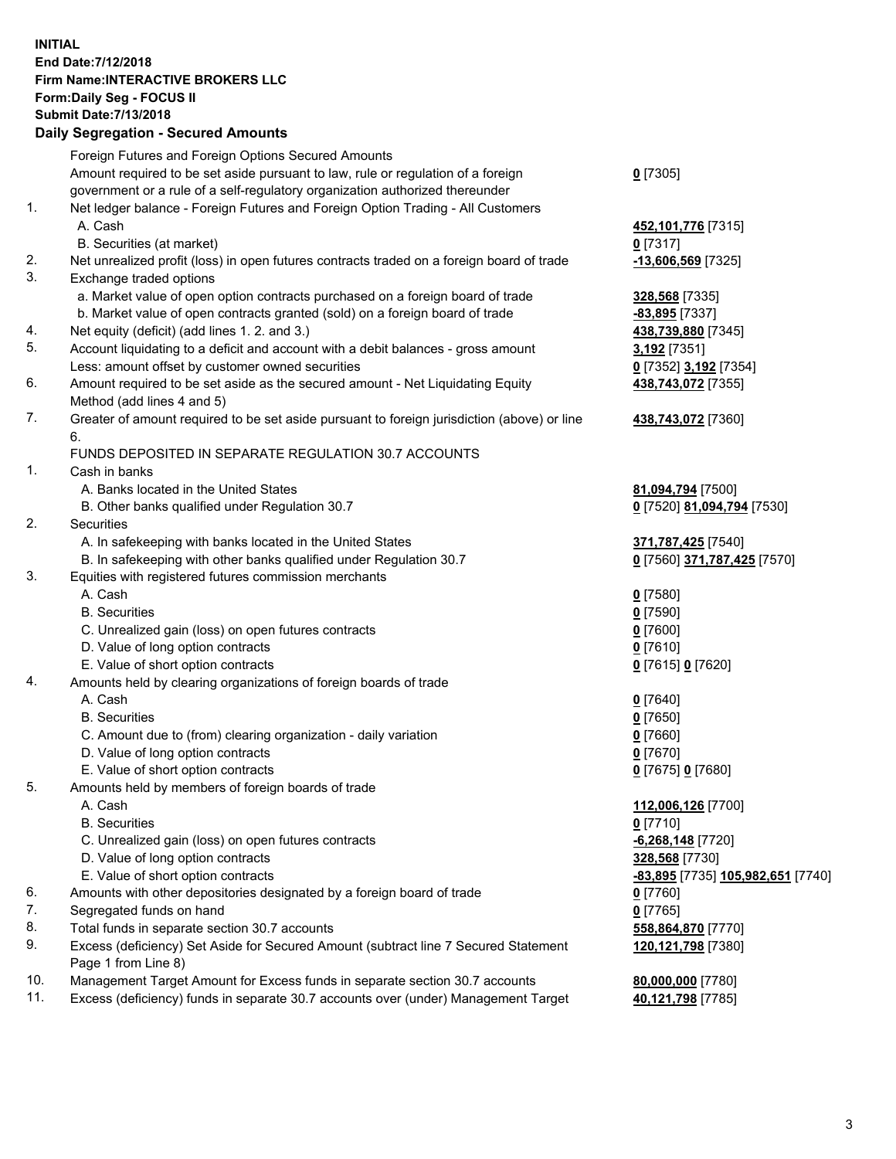## **INITIAL End Date:7/12/2018 Firm Name:INTERACTIVE BROKERS LLC Form:Daily Seg - FOCUS II Submit Date:7/13/2018 Daily Segregation - Secured Amounts**

| Daily Segregation - Secured Alliounts                                                       |                                                                                                                                                                                                                                                                                                                                                                                                                                                                                                                                                                                                                                                                                                                                                                                                                                                                                                                                                                                                                                                                                                                                                                                                                                                                                                                                                                                                                                                                                                                                                                                                                                                                                                 |
|---------------------------------------------------------------------------------------------|-------------------------------------------------------------------------------------------------------------------------------------------------------------------------------------------------------------------------------------------------------------------------------------------------------------------------------------------------------------------------------------------------------------------------------------------------------------------------------------------------------------------------------------------------------------------------------------------------------------------------------------------------------------------------------------------------------------------------------------------------------------------------------------------------------------------------------------------------------------------------------------------------------------------------------------------------------------------------------------------------------------------------------------------------------------------------------------------------------------------------------------------------------------------------------------------------------------------------------------------------------------------------------------------------------------------------------------------------------------------------------------------------------------------------------------------------------------------------------------------------------------------------------------------------------------------------------------------------------------------------------------------------------------------------------------------------|
| Foreign Futures and Foreign Options Secured Amounts                                         |                                                                                                                                                                                                                                                                                                                                                                                                                                                                                                                                                                                                                                                                                                                                                                                                                                                                                                                                                                                                                                                                                                                                                                                                                                                                                                                                                                                                                                                                                                                                                                                                                                                                                                 |
| Amount required to be set aside pursuant to law, rule or regulation of a foreign            | $0$ [7305]                                                                                                                                                                                                                                                                                                                                                                                                                                                                                                                                                                                                                                                                                                                                                                                                                                                                                                                                                                                                                                                                                                                                                                                                                                                                                                                                                                                                                                                                                                                                                                                                                                                                                      |
|                                                                                             |                                                                                                                                                                                                                                                                                                                                                                                                                                                                                                                                                                                                                                                                                                                                                                                                                                                                                                                                                                                                                                                                                                                                                                                                                                                                                                                                                                                                                                                                                                                                                                                                                                                                                                 |
|                                                                                             |                                                                                                                                                                                                                                                                                                                                                                                                                                                                                                                                                                                                                                                                                                                                                                                                                                                                                                                                                                                                                                                                                                                                                                                                                                                                                                                                                                                                                                                                                                                                                                                                                                                                                                 |
| A. Cash                                                                                     | 452,101,776 [7315]                                                                                                                                                                                                                                                                                                                                                                                                                                                                                                                                                                                                                                                                                                                                                                                                                                                                                                                                                                                                                                                                                                                                                                                                                                                                                                                                                                                                                                                                                                                                                                                                                                                                              |
| B. Securities (at market)                                                                   | $0$ [7317]                                                                                                                                                                                                                                                                                                                                                                                                                                                                                                                                                                                                                                                                                                                                                                                                                                                                                                                                                                                                                                                                                                                                                                                                                                                                                                                                                                                                                                                                                                                                                                                                                                                                                      |
| Net unrealized profit (loss) in open futures contracts traded on a foreign board of trade   | -13,606,569 [7325]                                                                                                                                                                                                                                                                                                                                                                                                                                                                                                                                                                                                                                                                                                                                                                                                                                                                                                                                                                                                                                                                                                                                                                                                                                                                                                                                                                                                                                                                                                                                                                                                                                                                              |
| Exchange traded options                                                                     |                                                                                                                                                                                                                                                                                                                                                                                                                                                                                                                                                                                                                                                                                                                                                                                                                                                                                                                                                                                                                                                                                                                                                                                                                                                                                                                                                                                                                                                                                                                                                                                                                                                                                                 |
|                                                                                             | 328,568 [7335]                                                                                                                                                                                                                                                                                                                                                                                                                                                                                                                                                                                                                                                                                                                                                                                                                                                                                                                                                                                                                                                                                                                                                                                                                                                                                                                                                                                                                                                                                                                                                                                                                                                                                  |
|                                                                                             | $-83,895$ [7337]                                                                                                                                                                                                                                                                                                                                                                                                                                                                                                                                                                                                                                                                                                                                                                                                                                                                                                                                                                                                                                                                                                                                                                                                                                                                                                                                                                                                                                                                                                                                                                                                                                                                                |
|                                                                                             | 438,739,880 [7345]                                                                                                                                                                                                                                                                                                                                                                                                                                                                                                                                                                                                                                                                                                                                                                                                                                                                                                                                                                                                                                                                                                                                                                                                                                                                                                                                                                                                                                                                                                                                                                                                                                                                              |
|                                                                                             | 3,192 [7351]                                                                                                                                                                                                                                                                                                                                                                                                                                                                                                                                                                                                                                                                                                                                                                                                                                                                                                                                                                                                                                                                                                                                                                                                                                                                                                                                                                                                                                                                                                                                                                                                                                                                                    |
|                                                                                             | 0 [7352] 3,192 [7354]                                                                                                                                                                                                                                                                                                                                                                                                                                                                                                                                                                                                                                                                                                                                                                                                                                                                                                                                                                                                                                                                                                                                                                                                                                                                                                                                                                                                                                                                                                                                                                                                                                                                           |
|                                                                                             | 438,743,072 [7355]                                                                                                                                                                                                                                                                                                                                                                                                                                                                                                                                                                                                                                                                                                                                                                                                                                                                                                                                                                                                                                                                                                                                                                                                                                                                                                                                                                                                                                                                                                                                                                                                                                                                              |
|                                                                                             |                                                                                                                                                                                                                                                                                                                                                                                                                                                                                                                                                                                                                                                                                                                                                                                                                                                                                                                                                                                                                                                                                                                                                                                                                                                                                                                                                                                                                                                                                                                                                                                                                                                                                                 |
| Greater of amount required to be set aside pursuant to foreign jurisdiction (above) or line | 438,743,072 [7360]                                                                                                                                                                                                                                                                                                                                                                                                                                                                                                                                                                                                                                                                                                                                                                                                                                                                                                                                                                                                                                                                                                                                                                                                                                                                                                                                                                                                                                                                                                                                                                                                                                                                              |
| 6.                                                                                          |                                                                                                                                                                                                                                                                                                                                                                                                                                                                                                                                                                                                                                                                                                                                                                                                                                                                                                                                                                                                                                                                                                                                                                                                                                                                                                                                                                                                                                                                                                                                                                                                                                                                                                 |
| FUNDS DEPOSITED IN SEPARATE REGULATION 30.7 ACCOUNTS                                        |                                                                                                                                                                                                                                                                                                                                                                                                                                                                                                                                                                                                                                                                                                                                                                                                                                                                                                                                                                                                                                                                                                                                                                                                                                                                                                                                                                                                                                                                                                                                                                                                                                                                                                 |
| Cash in banks                                                                               |                                                                                                                                                                                                                                                                                                                                                                                                                                                                                                                                                                                                                                                                                                                                                                                                                                                                                                                                                                                                                                                                                                                                                                                                                                                                                                                                                                                                                                                                                                                                                                                                                                                                                                 |
|                                                                                             | 81,094,794 [7500]                                                                                                                                                                                                                                                                                                                                                                                                                                                                                                                                                                                                                                                                                                                                                                                                                                                                                                                                                                                                                                                                                                                                                                                                                                                                                                                                                                                                                                                                                                                                                                                                                                                                               |
| B. Other banks qualified under Regulation 30.7                                              | 0 [7520] 81,094,794 [7530]                                                                                                                                                                                                                                                                                                                                                                                                                                                                                                                                                                                                                                                                                                                                                                                                                                                                                                                                                                                                                                                                                                                                                                                                                                                                                                                                                                                                                                                                                                                                                                                                                                                                      |
| Securities                                                                                  |                                                                                                                                                                                                                                                                                                                                                                                                                                                                                                                                                                                                                                                                                                                                                                                                                                                                                                                                                                                                                                                                                                                                                                                                                                                                                                                                                                                                                                                                                                                                                                                                                                                                                                 |
| A. In safekeeping with banks located in the United States                                   | 371,787,425 [7540]                                                                                                                                                                                                                                                                                                                                                                                                                                                                                                                                                                                                                                                                                                                                                                                                                                                                                                                                                                                                                                                                                                                                                                                                                                                                                                                                                                                                                                                                                                                                                                                                                                                                              |
|                                                                                             | 0 [7560] 371,787,425 [7570]                                                                                                                                                                                                                                                                                                                                                                                                                                                                                                                                                                                                                                                                                                                                                                                                                                                                                                                                                                                                                                                                                                                                                                                                                                                                                                                                                                                                                                                                                                                                                                                                                                                                     |
|                                                                                             |                                                                                                                                                                                                                                                                                                                                                                                                                                                                                                                                                                                                                                                                                                                                                                                                                                                                                                                                                                                                                                                                                                                                                                                                                                                                                                                                                                                                                                                                                                                                                                                                                                                                                                 |
|                                                                                             | $0$ [7580]                                                                                                                                                                                                                                                                                                                                                                                                                                                                                                                                                                                                                                                                                                                                                                                                                                                                                                                                                                                                                                                                                                                                                                                                                                                                                                                                                                                                                                                                                                                                                                                                                                                                                      |
| <b>B.</b> Securities                                                                        | $0$ [7590]                                                                                                                                                                                                                                                                                                                                                                                                                                                                                                                                                                                                                                                                                                                                                                                                                                                                                                                                                                                                                                                                                                                                                                                                                                                                                                                                                                                                                                                                                                                                                                                                                                                                                      |
| C. Unrealized gain (loss) on open futures contracts                                         | $0$ [7600]                                                                                                                                                                                                                                                                                                                                                                                                                                                                                                                                                                                                                                                                                                                                                                                                                                                                                                                                                                                                                                                                                                                                                                                                                                                                                                                                                                                                                                                                                                                                                                                                                                                                                      |
|                                                                                             | $0$ [7610]                                                                                                                                                                                                                                                                                                                                                                                                                                                                                                                                                                                                                                                                                                                                                                                                                                                                                                                                                                                                                                                                                                                                                                                                                                                                                                                                                                                                                                                                                                                                                                                                                                                                                      |
|                                                                                             | 0 [7615] 0 [7620]                                                                                                                                                                                                                                                                                                                                                                                                                                                                                                                                                                                                                                                                                                                                                                                                                                                                                                                                                                                                                                                                                                                                                                                                                                                                                                                                                                                                                                                                                                                                                                                                                                                                               |
|                                                                                             |                                                                                                                                                                                                                                                                                                                                                                                                                                                                                                                                                                                                                                                                                                                                                                                                                                                                                                                                                                                                                                                                                                                                                                                                                                                                                                                                                                                                                                                                                                                                                                                                                                                                                                 |
|                                                                                             | $0$ [7640]                                                                                                                                                                                                                                                                                                                                                                                                                                                                                                                                                                                                                                                                                                                                                                                                                                                                                                                                                                                                                                                                                                                                                                                                                                                                                                                                                                                                                                                                                                                                                                                                                                                                                      |
|                                                                                             | $0$ [7650]                                                                                                                                                                                                                                                                                                                                                                                                                                                                                                                                                                                                                                                                                                                                                                                                                                                                                                                                                                                                                                                                                                                                                                                                                                                                                                                                                                                                                                                                                                                                                                                                                                                                                      |
| C. Amount due to (from) clearing organization - daily variation                             | $0$ [7660]                                                                                                                                                                                                                                                                                                                                                                                                                                                                                                                                                                                                                                                                                                                                                                                                                                                                                                                                                                                                                                                                                                                                                                                                                                                                                                                                                                                                                                                                                                                                                                                                                                                                                      |
|                                                                                             | $0$ [7670]                                                                                                                                                                                                                                                                                                                                                                                                                                                                                                                                                                                                                                                                                                                                                                                                                                                                                                                                                                                                                                                                                                                                                                                                                                                                                                                                                                                                                                                                                                                                                                                                                                                                                      |
|                                                                                             | 0 [7675] 0 [7680]                                                                                                                                                                                                                                                                                                                                                                                                                                                                                                                                                                                                                                                                                                                                                                                                                                                                                                                                                                                                                                                                                                                                                                                                                                                                                                                                                                                                                                                                                                                                                                                                                                                                               |
| Amounts held by members of foreign boards of trade                                          |                                                                                                                                                                                                                                                                                                                                                                                                                                                                                                                                                                                                                                                                                                                                                                                                                                                                                                                                                                                                                                                                                                                                                                                                                                                                                                                                                                                                                                                                                                                                                                                                                                                                                                 |
| A. Cash                                                                                     | 112,006,126 [7700]                                                                                                                                                                                                                                                                                                                                                                                                                                                                                                                                                                                                                                                                                                                                                                                                                                                                                                                                                                                                                                                                                                                                                                                                                                                                                                                                                                                                                                                                                                                                                                                                                                                                              |
|                                                                                             | $0$ [7710]                                                                                                                                                                                                                                                                                                                                                                                                                                                                                                                                                                                                                                                                                                                                                                                                                                                                                                                                                                                                                                                                                                                                                                                                                                                                                                                                                                                                                                                                                                                                                                                                                                                                                      |
|                                                                                             | -6,268,148 [7720]                                                                                                                                                                                                                                                                                                                                                                                                                                                                                                                                                                                                                                                                                                                                                                                                                                                                                                                                                                                                                                                                                                                                                                                                                                                                                                                                                                                                                                                                                                                                                                                                                                                                               |
|                                                                                             | 328,568 [7730]                                                                                                                                                                                                                                                                                                                                                                                                                                                                                                                                                                                                                                                                                                                                                                                                                                                                                                                                                                                                                                                                                                                                                                                                                                                                                                                                                                                                                                                                                                                                                                                                                                                                                  |
|                                                                                             | <u>-83,895</u> [7735] <u>105,982,651</u> [7740]                                                                                                                                                                                                                                                                                                                                                                                                                                                                                                                                                                                                                                                                                                                                                                                                                                                                                                                                                                                                                                                                                                                                                                                                                                                                                                                                                                                                                                                                                                                                                                                                                                                 |
|                                                                                             | $0$ [7760]                                                                                                                                                                                                                                                                                                                                                                                                                                                                                                                                                                                                                                                                                                                                                                                                                                                                                                                                                                                                                                                                                                                                                                                                                                                                                                                                                                                                                                                                                                                                                                                                                                                                                      |
|                                                                                             | $0$ [7765]                                                                                                                                                                                                                                                                                                                                                                                                                                                                                                                                                                                                                                                                                                                                                                                                                                                                                                                                                                                                                                                                                                                                                                                                                                                                                                                                                                                                                                                                                                                                                                                                                                                                                      |
|                                                                                             | 558,864,870 [7770]                                                                                                                                                                                                                                                                                                                                                                                                                                                                                                                                                                                                                                                                                                                                                                                                                                                                                                                                                                                                                                                                                                                                                                                                                                                                                                                                                                                                                                                                                                                                                                                                                                                                              |
|                                                                                             | 120,121,798 [7380]                                                                                                                                                                                                                                                                                                                                                                                                                                                                                                                                                                                                                                                                                                                                                                                                                                                                                                                                                                                                                                                                                                                                                                                                                                                                                                                                                                                                                                                                                                                                                                                                                                                                              |
|                                                                                             |                                                                                                                                                                                                                                                                                                                                                                                                                                                                                                                                                                                                                                                                                                                                                                                                                                                                                                                                                                                                                                                                                                                                                                                                                                                                                                                                                                                                                                                                                                                                                                                                                                                                                                 |
|                                                                                             | 80,000,000 [7780]                                                                                                                                                                                                                                                                                                                                                                                                                                                                                                                                                                                                                                                                                                                                                                                                                                                                                                                                                                                                                                                                                                                                                                                                                                                                                                                                                                                                                                                                                                                                                                                                                                                                               |
|                                                                                             | 40,121,798 [7785]                                                                                                                                                                                                                                                                                                                                                                                                                                                                                                                                                                                                                                                                                                                                                                                                                                                                                                                                                                                                                                                                                                                                                                                                                                                                                                                                                                                                                                                                                                                                                                                                                                                                               |
|                                                                                             | government or a rule of a self-regulatory organization authorized thereunder<br>Net ledger balance - Foreign Futures and Foreign Option Trading - All Customers<br>a. Market value of open option contracts purchased on a foreign board of trade<br>b. Market value of open contracts granted (sold) on a foreign board of trade<br>Net equity (deficit) (add lines 1.2. and 3.)<br>Account liquidating to a deficit and account with a debit balances - gross amount<br>Less: amount offset by customer owned securities<br>Amount required to be set aside as the secured amount - Net Liquidating Equity<br>Method (add lines 4 and 5)<br>A. Banks located in the United States<br>B. In safekeeping with other banks qualified under Regulation 30.7<br>Equities with registered futures commission merchants<br>A. Cash<br>D. Value of long option contracts<br>E. Value of short option contracts<br>Amounts held by clearing organizations of foreign boards of trade<br>A. Cash<br><b>B.</b> Securities<br>D. Value of long option contracts<br>E. Value of short option contracts<br><b>B.</b> Securities<br>C. Unrealized gain (loss) on open futures contracts<br>D. Value of long option contracts<br>E. Value of short option contracts<br>Amounts with other depositories designated by a foreign board of trade<br>Segregated funds on hand<br>Total funds in separate section 30.7 accounts<br>Excess (deficiency) Set Aside for Secured Amount (subtract line 7 Secured Statement<br>Page 1 from Line 8)<br>Management Target Amount for Excess funds in separate section 30.7 accounts<br>Excess (deficiency) funds in separate 30.7 accounts over (under) Management Target |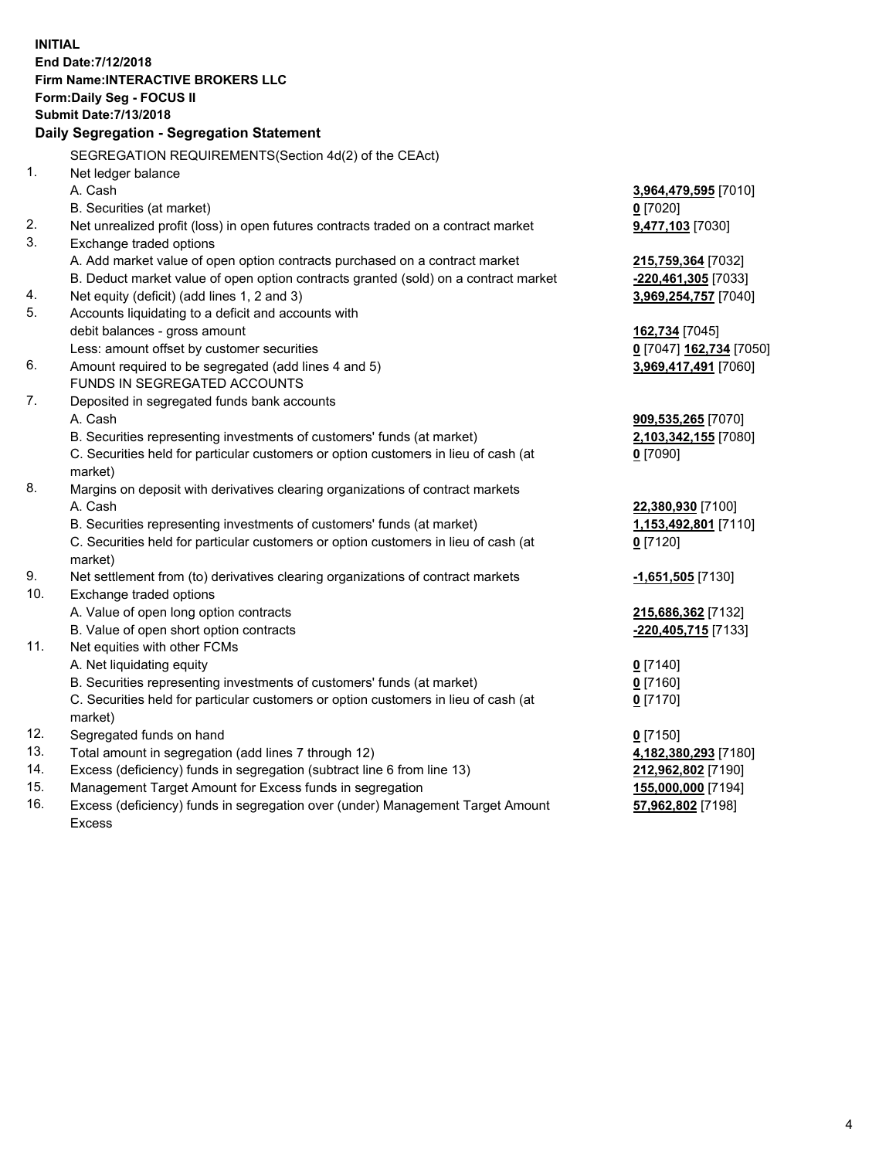**INITIAL End Date:7/12/2018 Firm Name:INTERACTIVE BROKERS LLC Form:Daily Seg - FOCUS II Submit Date:7/13/2018 Daily Segregation - Segregation Statement** SEGREGATION REQUIREMENTS(Section 4d(2) of the CEAct) 1. Net ledger balance A. Cash **3,964,479,595** [7010] B. Securities (at market) **0** [7020] 2. Net unrealized profit (loss) in open futures contracts traded on a contract market **9,477,103** [7030] 3. Exchange traded options A. Add market value of open option contracts purchased on a contract market **215,759,364** [7032] B. Deduct market value of open option contracts granted (sold) on a contract market **-220,461,305** [7033] 4. Net equity (deficit) (add lines 1, 2 and 3) **3,969,254,757** [7040] 5. Accounts liquidating to a deficit and accounts with debit balances - gross amount **162,734** [7045] Less: amount offset by customer securities **0** [7047] **162,734** [7050] 6. Amount required to be segregated (add lines 4 and 5) **3,969,417,491** [7060] FUNDS IN SEGREGATED ACCOUNTS 7. Deposited in segregated funds bank accounts A. Cash **909,535,265** [7070] B. Securities representing investments of customers' funds (at market) **2,103,342,155** [7080] C. Securities held for particular customers or option customers in lieu of cash (at market) **0** [7090] 8. Margins on deposit with derivatives clearing organizations of contract markets A. Cash **22,380,930** [7100] B. Securities representing investments of customers' funds (at market) **1,153,492,801** [7110] C. Securities held for particular customers or option customers in lieu of cash (at market) **0** [7120] 9. Net settlement from (to) derivatives clearing organizations of contract markets **-1,651,505** [7130] 10. Exchange traded options A. Value of open long option contracts **215,686,362** [7132] B. Value of open short option contracts **-220,405,715** [7133] 11. Net equities with other FCMs A. Net liquidating equity **0** [7140] B. Securities representing investments of customers' funds (at market) **0** [7160] C. Securities held for particular customers or option customers in lieu of cash (at market) **0** [7170] 12. Segregated funds on hand **0** [7150] 13. Total amount in segregation (add lines 7 through 12) **4,182,380,293** [7180] 14. Excess (deficiency) funds in segregation (subtract line 6 from line 13) **212,962,802** [7190] 15. Management Target Amount for Excess funds in segregation **155,000,000** [7194]

16. Excess (deficiency) funds in segregation over (under) Management Target Amount Excess

**57,962,802** [7198]